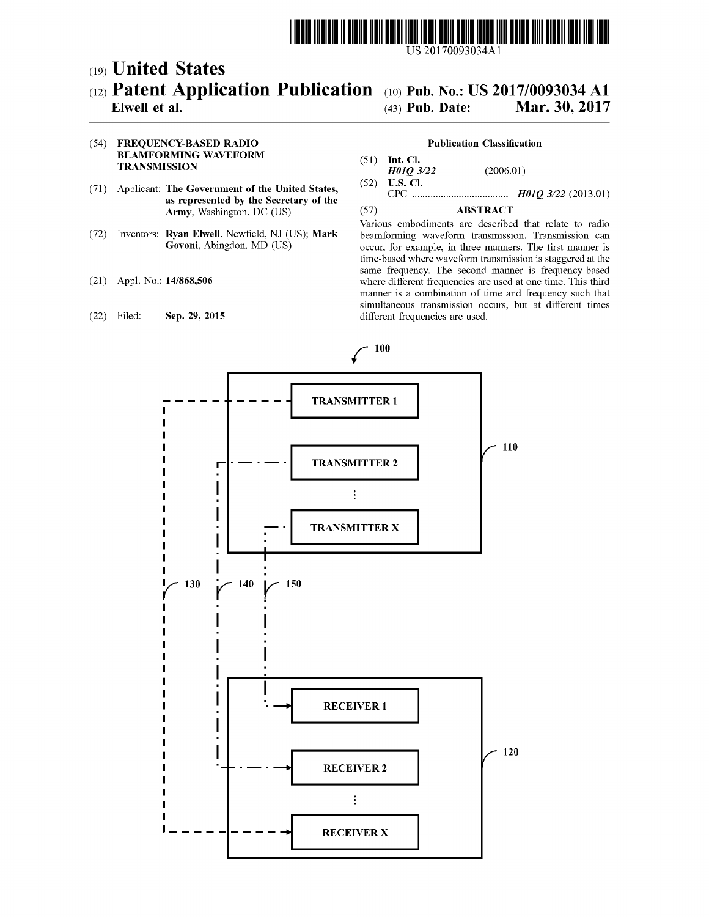

US 20170093034A1

# (19) United States

# (12) **Patent Application Publication** (10) Pub. No.: US 2017/0093034 A1 Elwell et al. (43) Pub. Date: Mar. 30, 2017 Mar. 30, 2017

## (54) FREQUENCY-BASED RADIO Publication Classification BEAMFORMING WAVEFORM (51) Int. Cl.<br>TRANSMISSION HOLD 3

- (71) Applicant: The Government of the United States,  $\begin{array}{c} (52) \text{U.S. Cl.} \\ \text{CPC} \end{array}$  H01Q 3/22 (2013.01) as represented by the Secretary of the Army, Washington, DC (US) (57) ABSTRACT
- 
- 
- 

- $H01Q$  3/22 (2006.01)
- 

Various embodiments are described that relate to radio (72) Inventors: **Ryan Elwell**, Newfield, NJ (US); **Mark** beamforming waveform transmission. Transmission can **Govoni**, Abingdon, MD (US) occur, for example, in three manners. The first manner is occur, for example, in three manners. The first manner is time-based where waveform transmission is staggered at the same frequency. The second manner is frequency-based (21) Appl. No.: 14/868,506 where different frequencies are used at one time. This third manner is a combination of time and frequency Such that simultaneous transmission occurs, but at different times (22) Filed: Sep. 29, 2015 different frequencies are used.

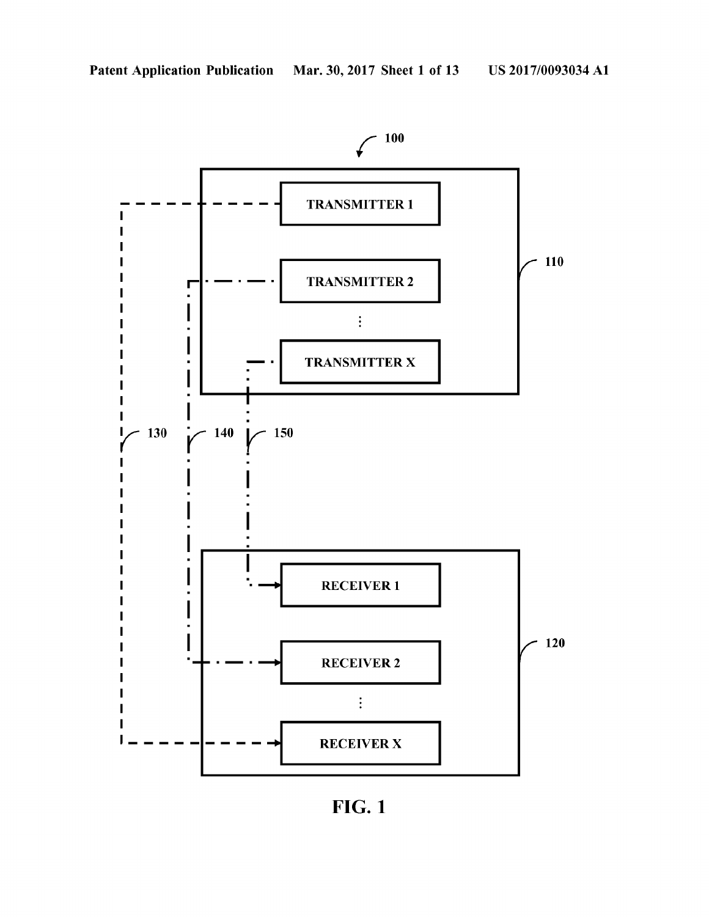

FIG. 1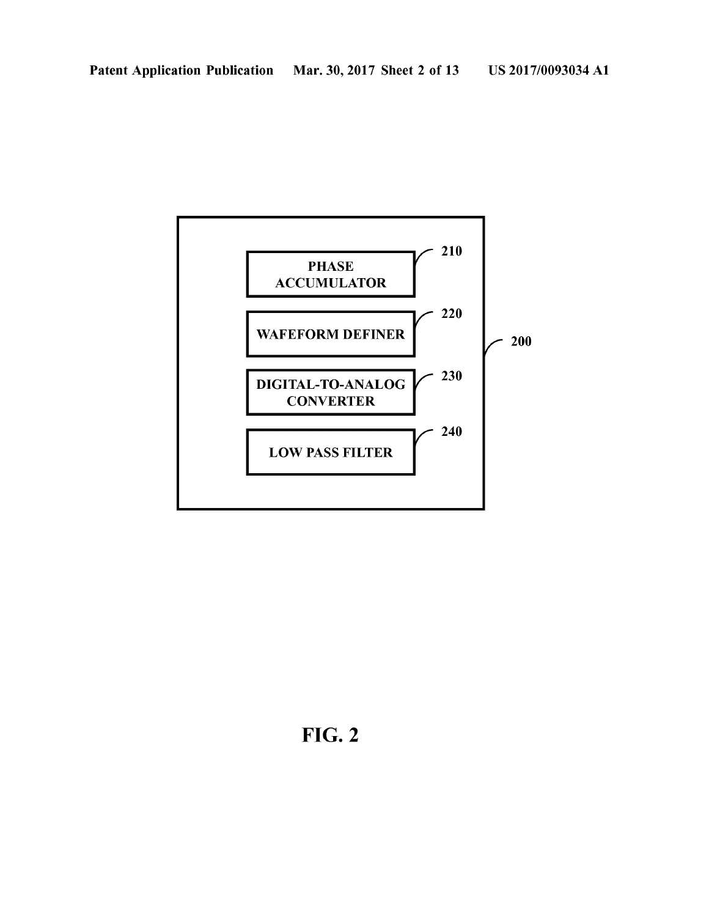

**FIG. 2**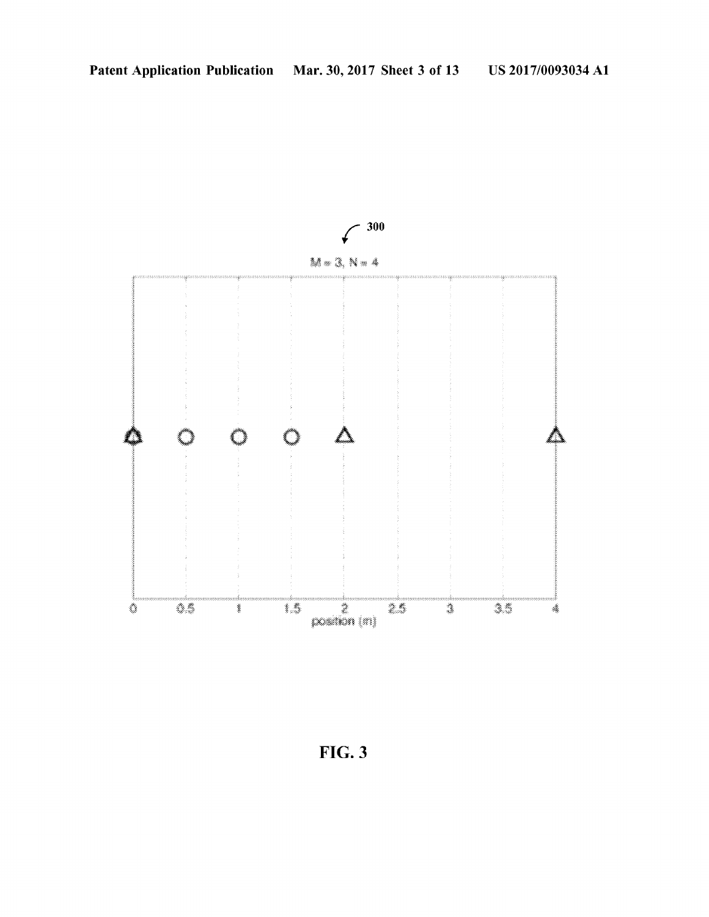

**FIG. 3**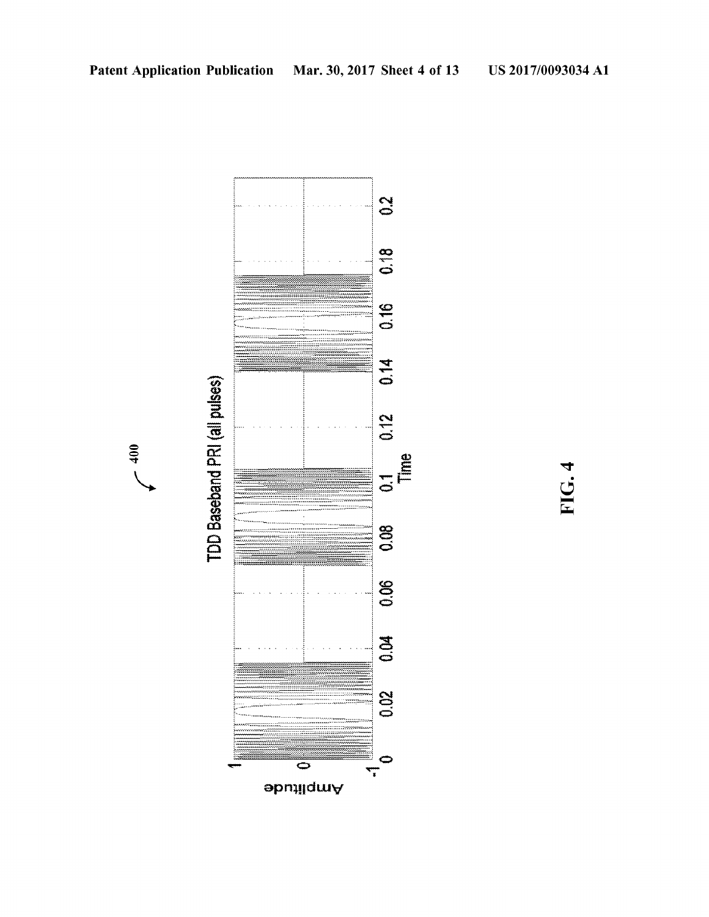

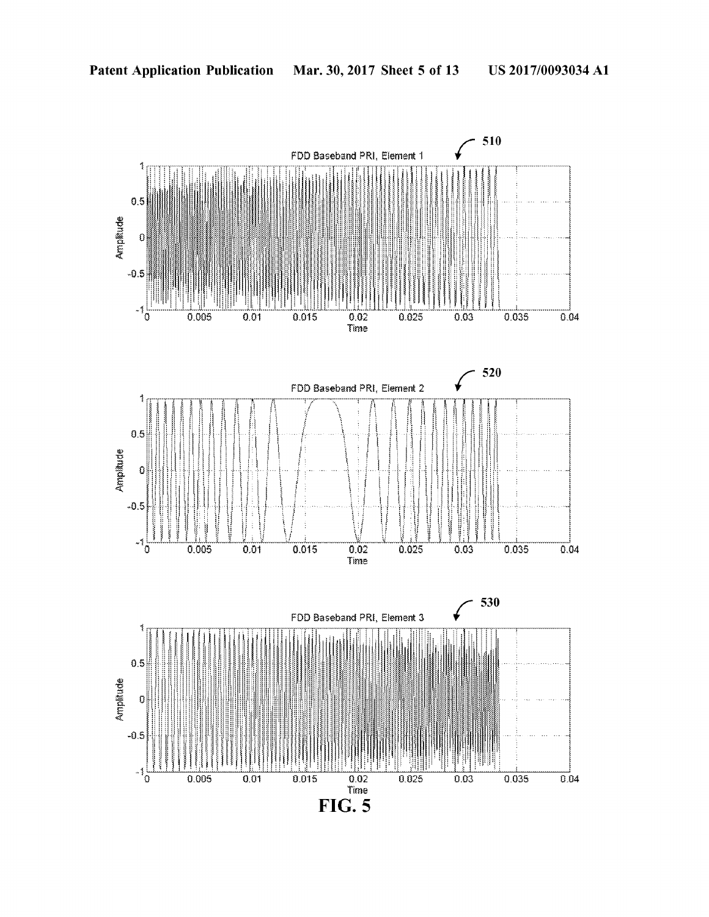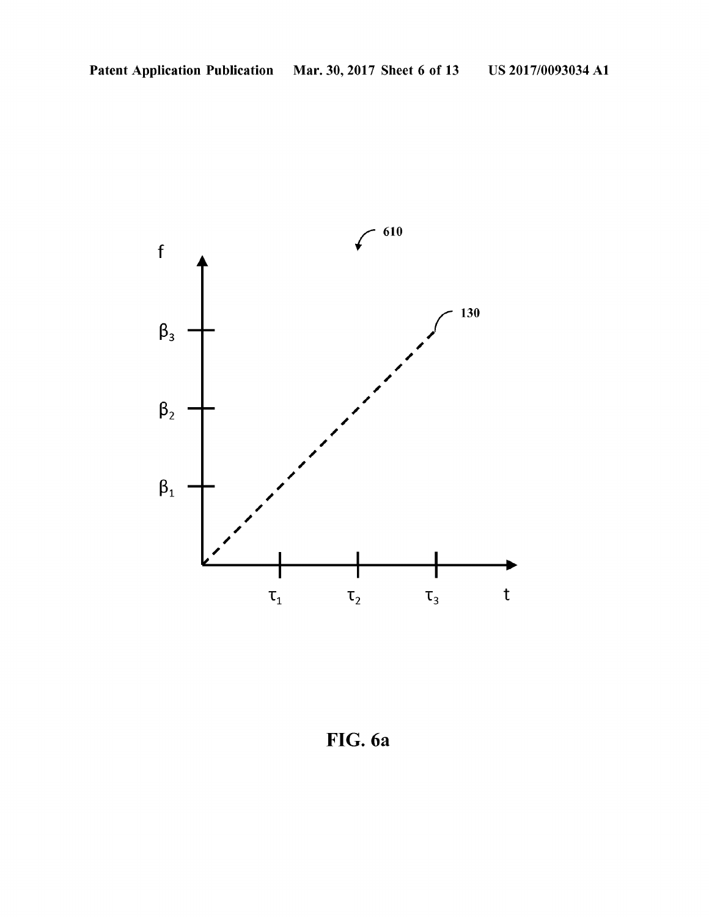

FIG. 6a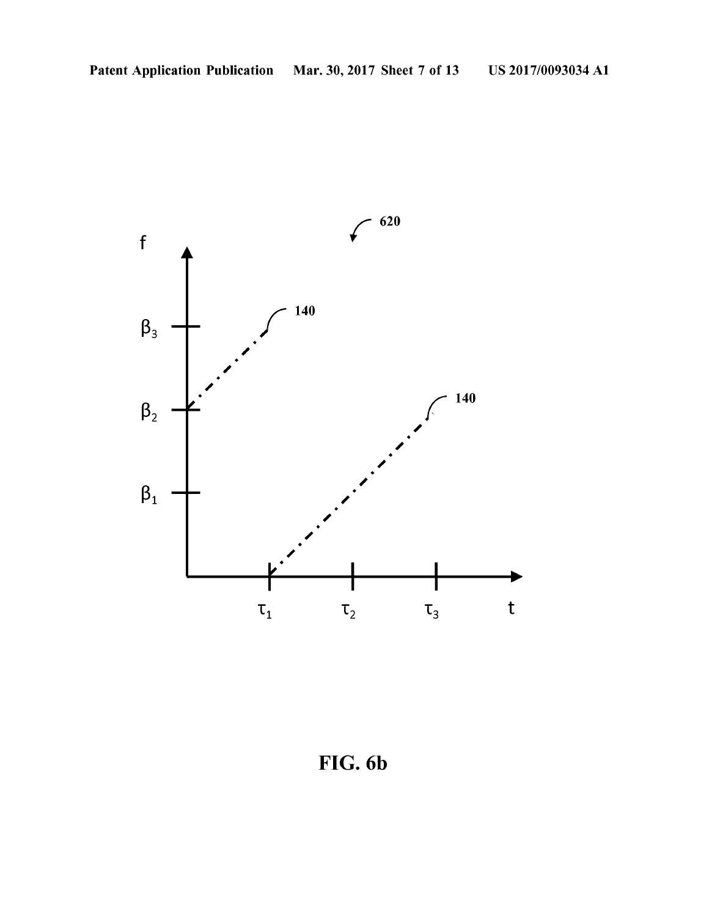

FIG. 6b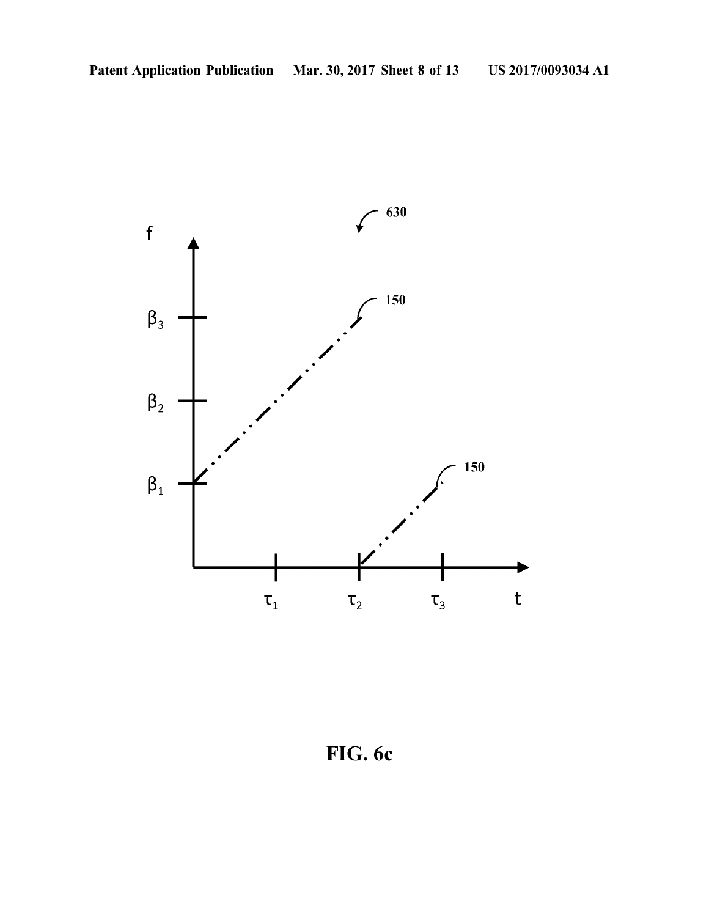

FIG. 6c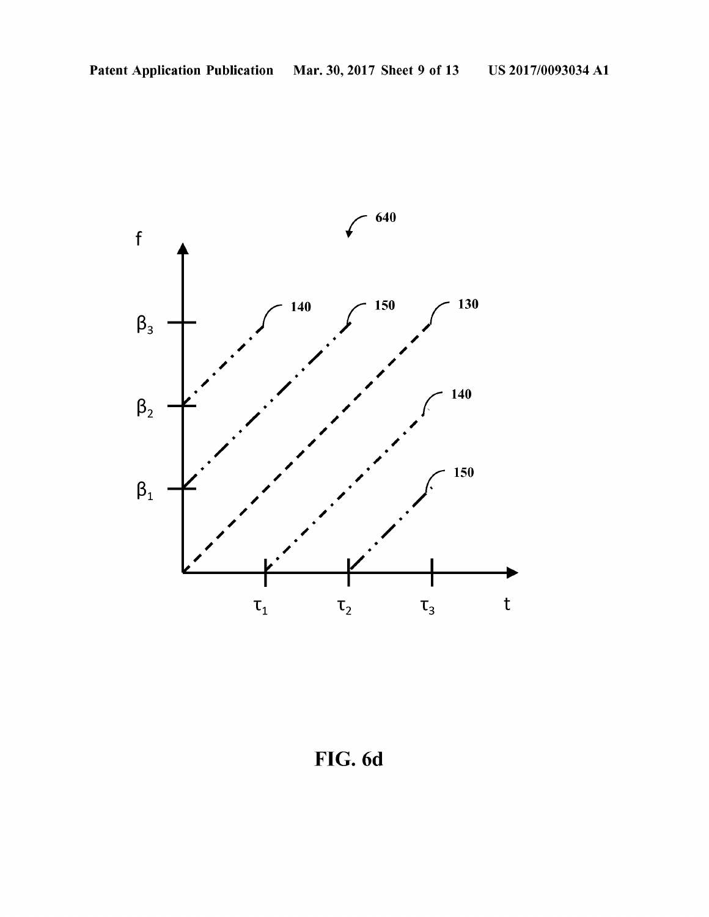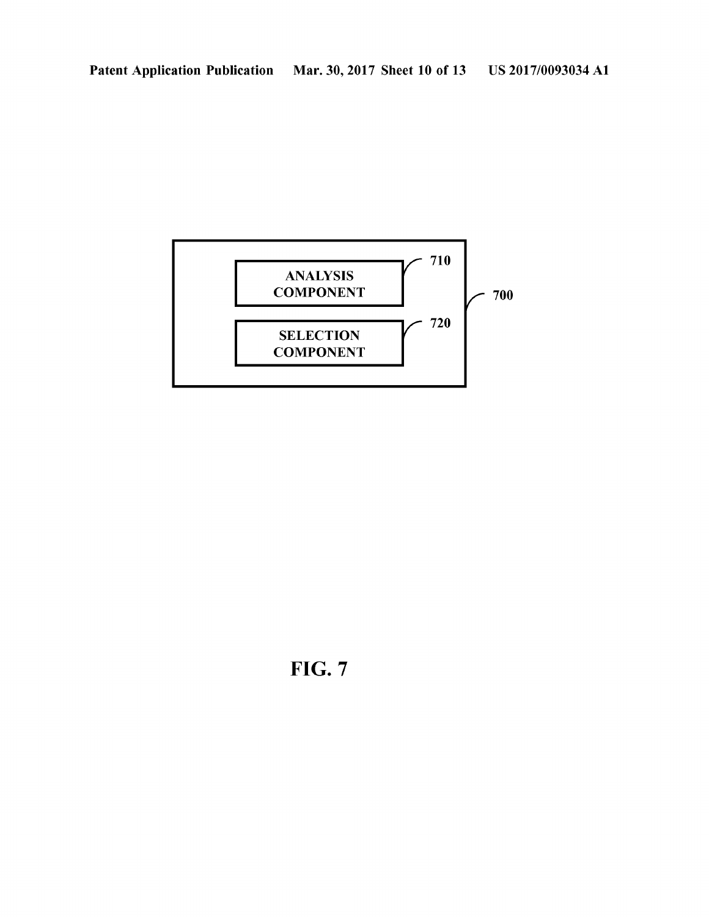

FIG. 7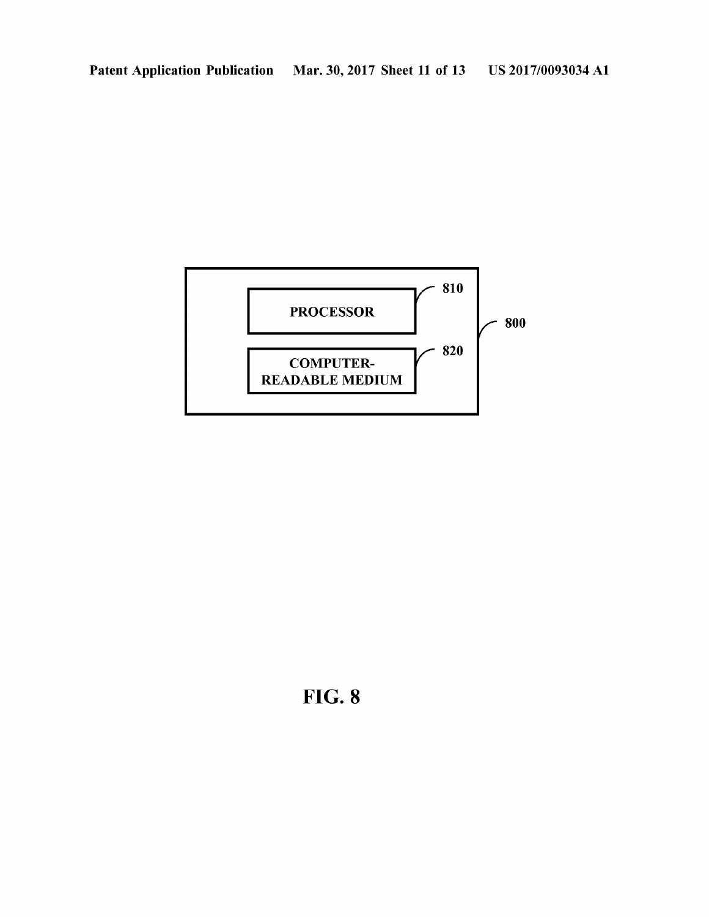

**FIG. 8**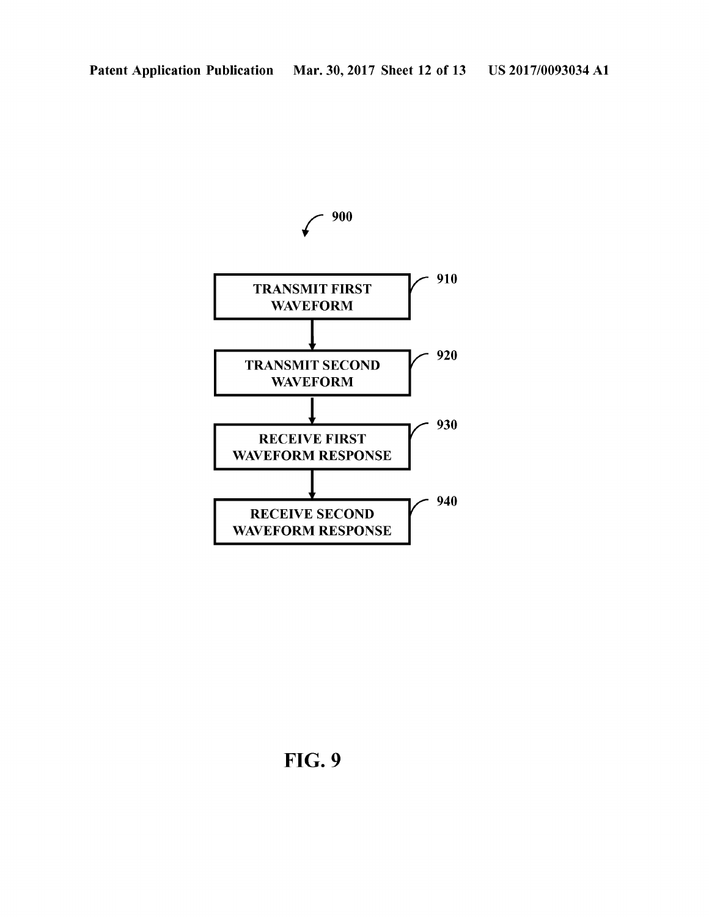

FIG. 9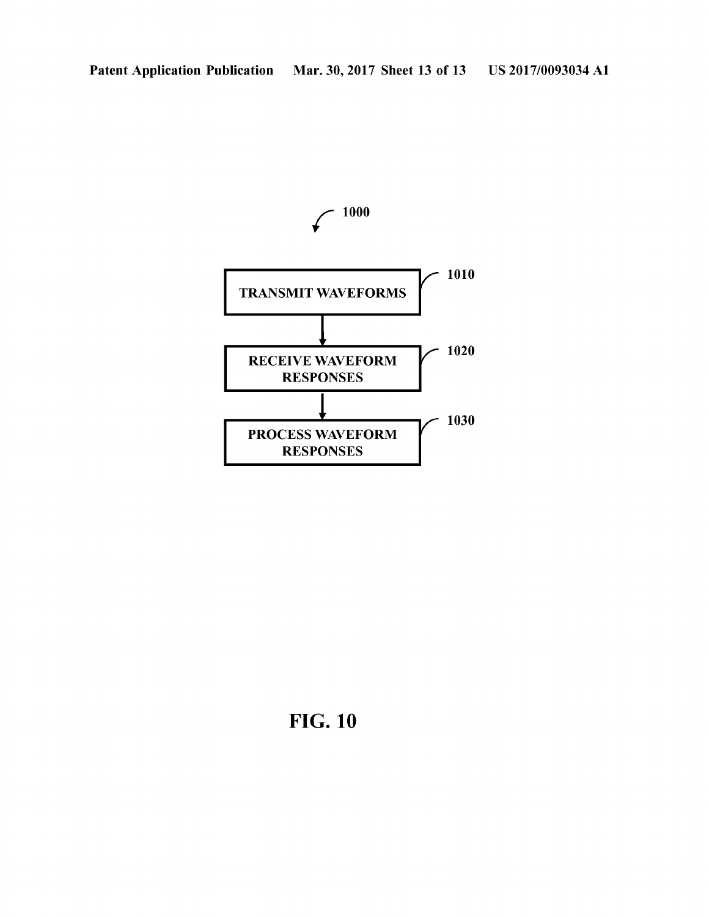

FIG. 10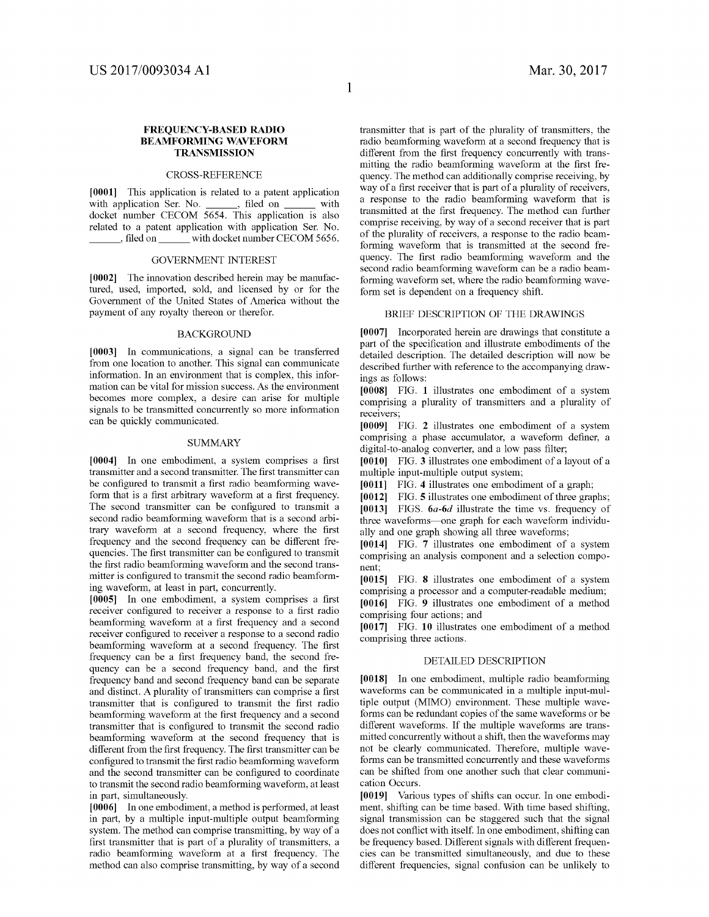## FREQUENCY-BASED RADIO BEAMFORMING WAVEFORM **TRANSMISSION**

## CROSS-REFERENCE

[0001] This application is related to a patent application with application Ser. No. \_\_\_\_\_\_\_, filed on with with application Ser. No. \_\_\_\_\_\_, filed on \_\_\_ docket number CECOM  $\overline{5654}$ . This application is also related to a patent application with application Ser. No. relation application with docket number CECOM 5656.

#### GOVERNMENT INTEREST

[0002] The innovation described herein may be manufactured, used, imported, sold, and licensed by or for the Government of the United States of America without the payment of any royalty thereon or therefor.

### **BACKGROUND**

[0003] In communications, a signal can be transferred from one location to another. This signal can communicate information. In an environment that is complex, this infor mation can be vital for mission success. As the environment becomes more complex, a desire can arise for multiple signals to be transmitted concurrently so more information can be quickly communicated.

#### SUMMARY

[0004] In one embodiment, a system comprises a first transmitter and a second transmitter. The first transmitter can be configured to transmit a first radio beamforming waveform that is a first arbitrary waveform at a first frequency. The second transmitter can be configured to transmit a second radio beamforming waveform that is a second arbitrary waveform at a second frequency, where the first frequency and the second frequency can be different fre quencies. The first transmitter can be configured to transmit the first radio beamforming waveform and the second transmitter is configured to transmit the second radio beamforming waveform, at least in part, concurrently.

[0005] In one embodiment, a system comprises a first receiver configured to receiver a response to a first radio beam forming waveform at a first frequency and a second receiver configured to receiver a response to a second radio beam forming waveform at a second frequency. The first frequency can be a first frequency band, the second fre quency can be a second frequency band, and the first frequency band and second frequency band can be separate and distinct. A plurality of transmitters can comprise a first transmitter that is configured to transmit the first radio beam forming waveform at the first frequency and a second transmitter that is configured to transmit the second radio beam forming waveform at the second frequency that is different from the first frequency. The first transmitter can be configured to transmit the first radio beam forming waveform and the second transmitter can be configured to coordinate to transmit the second radio beam forming waveform, at least in part, simultaneously.

[0006] In one embodiment, a method is performed, at least in part, by a multiple input-multiple output beam forming system. The method can comprise transmitting, by way of a first transmitter that is part of a plurality of transmitters, a radio beam forming waveform at a first frequency. The method can also comprise transmitting, by way of a second transmitter that is part of the plurality of transmitters, the radio beamforming waveform at a second frequency that is different from the first frequency concurrently with trans mitting the radio beamforming waveform at the first frequency. The method can additionally comprise receiving, by way of a first receiver that is part of a plurality of receivers, a response to the radio beam forming waveform that is transmitted at the first frequency. The method can further comprise receiving, by way of a second receiver that is part of the plurality of receivers, a response to the radio beam forming waveform that is transmitted at the second fre quency. The first radio beam forming waveform and the second radio beamforming waveform can be a radio beamforming waveform set, where the radio beam forming wave form set is dependent on a frequency shift.

## BRIEF DESCRIPTION OF THE DRAWINGS

[0007] Incorporated herein are drawings that constitute a part of the specification and illustrate embodiments of the detailed description. The detailed description will now be described further with reference to the accompanying draw

ings as follows:<br>[0008] FIG. 1 illustrates one embodiment of a system comprising a plurality of transmitters and a plurality of receivers;<br>[0009] FIG. 2 illustrates one embodiment of a system

comprising a phase accumulator, a waveform definer, a digital-to-analog converter, and a low pass filter;<br>[0010] FIG. 3 illustrates one embodiment of a layout of a

multiple input-multiple output system;

[0011] FIG. 4 illustrates one embodiment of a graph;

[0012] FIG. 5 illustrates one embodiment of three graphs;

[0013] FIGS.  $6a-6d$  illustrate the time vs. frequency of three waveforms—one graph for each waveform individu ally and one graph showing all three waveforms;<br>[0014] FIG. 7 illustrates one embodiment of a system

comprising an analysis component and a selection component;<br>[0015] FIG. 8 illustrates one embodiment of a system

comprising a processor and a computer-readable medium; [0016] FIG. 9 illustrates one embodiment of a method comprising four actions; and

0017 FIG. 10 illustrates one embodiment of a method comprising three actions.

#### DETAILED DESCRIPTION

[0018] In one embodiment, multiple radio beamforming waveforms can be communicated in a multiple input-mul tiple output (MIMO) environment. These multiple wave forms can be redundant copies of the same waveforms or be different waveforms. If the multiple waveforms are trans mitted concurrently without a shift, then the waveforms may not be clearly communicated. Therefore, multiple wave-<br>forms can be transmitted concurrently and these waveforms can be shifted from one another such that clear communication Occurs.

[0019] Various types of shifts can occur. In one embodi-<br>ment, shifting can be time based. With time based shifting, signal transmission can be staggered such that the signal does not conflict with itself. In one embodiment, shifting can be frequency based. Different signals with different frequen cies can be transmitted simultaneously, and due to these different frequencies, signal confusion can be unlikely to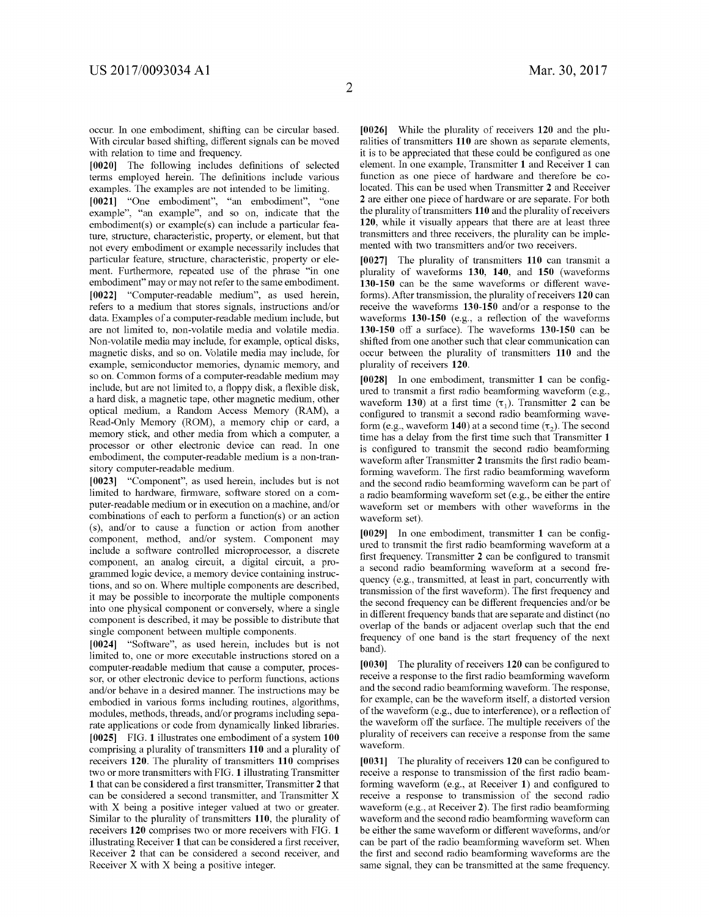occur. In one embodiment, shifting can be circular based. With circular based shifting, different signals can be moved with relation to time and frequency.

[0020] The following includes definitions of selected terms employed herein. The definitions include various examples. The examples are not intended to be limiting. 0021 "One embodiment", "an embodiment", "one example", "an example", and so on, indicate that the embodiment(s) or example(s) can include a particular fea ture, structure, characteristic, property, or element, but that not every embodiment or example necessarily includes that particular feature, structure, characteristic, property or ele ment. Furthermore, repeated use of the phrase "in one embodiment" may or may not refer to the same embodiment. [0022] "Computer-readable medium", as used herein, refers to a medium that stores signals, instructions and/or data. Examples of a computer-readable medium include, but are not limited to, non-volatile media and volatile media. Non-volatile media may include, for example, optical disks, magnetic disks, and so on. Volatile media may include, for example, semiconductor memories, dynamic memory, and so on. Common forms of a computer-readable medium may include, but are not limited to, a floppy disk, a flexible disk, a hard disk, a magnetic tape, other magnetic medium, other optical medium, a Random Access Memory (RAM), a Read-Only Memory (ROM), a memory chip or card, a memory stick, and other media from which a computer, a processor or other electronic device can read. In one embodiment, the computer-readable medium is a non-tran sitory computer-readable medium.

0023 "Component', as used herein, includes but is not limited to hardware, firmware, software stored on a computer-readable medium or in execution on a machine, and/or combinations of each to perform a function(s) or an action (s), and/or to cause a function or action from another component, method, and/or system. Component may include a Software controlled microprocessor, a discrete component, an analog circuit, a digital circuit, a pro grammed logic device, a memory device containing instructions, and so on. Where multiple components are described, it may be possible to incorporate the multiple components into one physical component or conversely, where a single component is described, it may be possible to distribute that single component between multiple components.

[0024] "Software", as used herein, includes but is not limited to, one or more executable instructions stored on a computer-readable medium that cause a computer, proces sor, or other electronic device to perform functions, actions and/or behave in a desired manner. The instructions may be embodied in various forms including routines, algorithms, modules, methods, threads, and/or programs including sepa rate applications or code from dynamically linked libraries. [0025] FIG. 1 illustrates one embodiment of a system 100 comprising a plurality of transmitters 110 and a plurality of receivers 120. The plurality of transmitters 110 comprises two or more transmitters with FIG. 1 illustrating Transmitter 1 that can be considered a first transmitter, Transmitter 2 that can be considered a second transmitter, and Transmitter X with X being a positive integer valued at two or greater. Similar to the plurality of transmitters 110, the plurality of receivers 120 comprises two or more receivers with FIG. 1 illustrating Receiver 1 that can be considered a first receiver, Receiver 2 that can be considered a second receiver, and Receiver X with X being a positive integer.

[0026] While the plurality of receivers 120 and the pluralities of transmitters 110 are shown as separate elements, it is to be appreciated that these could be configured as one element. In one example, Transmitter 1 and Receiver 1 can function as one piece of hardware and therefore be co located. This can be used when Transmitter 2 and Receiver 2 are either one piece of hardware or are separate. For both the plurality of transmitters 110 and the plurality of receivers 120, while it visually appears that there are at least three transmitters and three receivers, the plurality can be imple mented with two transmitters and/or two receivers.

[0027] The plurality of transmitters 110 can transmit a plurality of waveforms 130, 140, and 150 (waveforms 130-150 can be the same waveforms or different wave forms). After transmission, the plurality of receivers 120 can receive the waveforms 130-150 and/or a response to the waveforms 130-150 (e.g., a reflection of the waveforms 130-150 off a surface). The waveforms 130-150 can be shifted from one another such that clear communication can occur between the plurality of transmitters 110 and the plurality of receivers 120.

[0028] In one embodiment, transmitter 1 can be configured to transmit a first radio beamforming waveform (e.g., waveform 130) at a first time  $(\tau_1)$ . Transmitter 2 can be configured to transmit a second radio beam forming wave form (e.g., waveform 140) at a second time  $(\tau_2)$ . The second time has a delay from the first time such that Transmitter 1 is configured to transmit the second radio beam forming waveform after Transmitter 2 transmits the first radio beam forming waveform. The first radio beamforming waveform and the second radio beam forming waveform can be part of a radio beam forming waveform set (e.g., be either the entire waveform set or members with other waveforms in the waveform set).

[0029] In one embodiment, transmitter 1 can be configured to transmit the first radio beam forming waveform at a first frequency. Transmitter 2 can be configured to transmit a second radio beam forming waveform at a second fre quency (e.g., transmitted, at least in part, concurrently with transmission of the first waveform). The first frequency and the second frequency can be different frequencies and/or be in different frequency bands that are separate and distinct (no overlap of the bands or adjacent overlap such that the end frequency of one band is the start frequency of the next band).

[0030] The plurality of receivers 120 can be configured to receive a response to the first radio beamforming waveform and the second radio beam forming waveform. The response, for example, can be the waveform itself, a distorted version of the waveform (e.g., due to interference), or a reflection of the waveform off the surface. The multiple receivers of the plurality of receivers can receive a response from the same waveform.

[0031] The plurality of receivers 120 can be configured to receive a response to transmission of the first radio beam forming waveform (e.g., at Receiver 1) and configured to receive a response to transmission of the second radio waveform (e.g., at Receiver 2). The first radio beamforming waveform and the second radio beamforming waveform can be either the same waveform or different waveforms, and/or can be part of the radio beam forming waveform set. When the first and second radio beam forming waveforms are the same signal, they can be transmitted at the same frequency.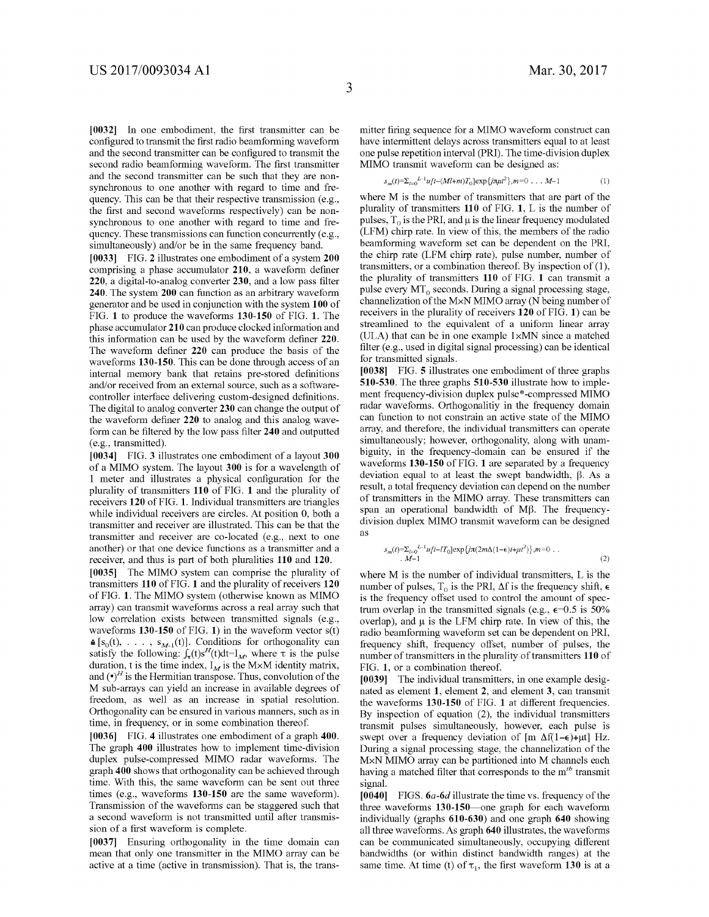[0032] In one embodiment, the first transmitter can be configured to transmit the first radio beam forming waveform and the second transmitter can be configured to transmit the second radio beam forming waveform. The first transmitter and the second transmitter can be such that they are non synchronous to one another with regard to time and fre quency. This can be that their respective transmission (e.g., the first and second waveforms respectively) can be non synchronous to one another with regard to time and frequency. These transmissions can function concurrently (e.g., simultaneously) and/or be in the same frequency band.

[0033] FIG. 2 illustrates one embodiment of a system 200 comprising a phase accumulator 210, a waveform definer 220, a digital-to-analog converter 230, and a low pass filter 240. The system 200 can function as an arbitrary waveform generator and be used in conjunction with the system 100 of FIG. 1 to produce the waveforms 130-150 of FIG. 1. The phase accumulator 210 can produce clocked information and this information can be used by the waveform definer 220. The waveform definer 220 can produce the basis of the waveforms 130-150. This can be done through access of an internal memory bank that retains pre-stored definitions and/or received from an external source, such as a softwarecontroller interface delivering custom-designed definitions. The digital to analog converter 230 can change the output of the waveform definer 220 to analog and this analog wave form can be filtered by the low pass filter 240 and outputted (e.g., transmitted).

[0034] FIG. 3 illustrates one embodiment of a layout 300 of a MIMO system. The layout 300 is for a wavelength of 1 meter and illustrates a physical configuration for the plurality of transmitters 110 of FIG. 1 and the plurality of receivers 120 of FIG. 1. Individual transmitters are triangles while individual receivers are circles. At position 0, both a transmitter and receiver are illustrated. This can be that the transmitter and receiver are co-located (e.g., next to one another) or that one device functions as a transmitter and a receiver, and thus is part of both pluralities 110 and 120.

[0035] The MIMO system can comprise the plurality of transmitters 110 of FIG. 1 and the plurality of receivers 120 of FIG. 1. The MIMO system (otherwise known as MIMO array) can transmit waveforms across a real array Such that low correlation exists between transmitted signals (e.g., waveforms 130-150 of FIG. 1) in the waveform vector  $s(t)$  $\Delta [s_0(t), \ldots, s_{M-1}(t)].$  Conditions for orthogonality can satisfy the following:  $\int_{\tau}(t)s^{H}(t)dt=I_{M}$ , where  $\tau$  is the pulse duration, t is the time index,  $I_M$  is the M×M identity matrix, and  $(\cdot)^H$  is the Hermitian transpose. Thus, convolution of the M Sub-arrays can yield an increase in available degrees of freedom, as well as an increase in spatial resolution. Orthogonality can be ensured in various manners, such as in time, in frequency, or in some combination thereof.

[0036] FIG. 4 illustrates one embodiment of a graph 400. The graph 400 illustrates how to implement time-division duplex pulse-compressed MIMO radar waveforms. The graph 400 shows that orthogonality can be achieved through time. With this, the same waveform can be sent out three times (e.g., waveforms 130-150 are the same waveform).<br>Transmission of the waveforms can be staggered such that a second waveform is not transmitted until after transmission of a first waveform is complete.

[0037] Ensuring orthogonality in the time domain can mean that only one transmitter in the MIMO array can be active at a time (active in transmission). That is, the trans

mitter firing sequence for a MIMO waveform construct can have intermittent delays across transmitters equal to at least one pulse repetition interval (PRI). The time-division duplex MIMO transmit waveform can be designed as:

$$
C_m(t) = \sum_{l=0}^{L-1} u \left[ t - (Ml+m)T_0 \right] \exp\{j\pi\mu t^2\}, m=0 \dots M-1 \tag{1}
$$

where M is the number of transmitters that are part of the plurality of transmitters 110 of FIG. 1, L is the number of pulses,  $T_0$  is the PRI, and  $\mu$  is the linear frequency modulated (LFM) chirp rate. In view of this, the members of the radio beam forming waveform set can be dependent on the PRI. the chirp rate (LFM chirp rate), pulse number, number of transmitters, or a combination thereof. By inspection of (1), the plurality of transmitters 110 of FIG. 1 can transmit a pulse every  $MT_0$  seconds. During a signal processing stage, channelization of the MXN MIMO array (N being number of receivers in the plurality of receivers 120 of FIG. 1) can be streamlined to the equivalent of a uniform linear array (ULA) that can be in one example  $1 \times MN$  since a matched filter (e.g., used in digital signal processing) can be identical for transmitted signals.

[0038] FIG. 5 illustrates one embodiment of three graphs 510-530. The three graphs 510-530 illustrate how to imple ment frequency-division duplex pulse\*-compressed MIMO<br>radar waveforms. Orthogonalitiy in the frequency domain can function to not constrain an active state of the MIMO array, and therefore, the individual transmitters can operate simultaneously; however, orthogonality, along with unambiguity, in the frequency-domain can be ensured if the waveforms 130-150 of FIG. 1 are separated by a frequency deviation equal to at least the swept bandwidth,  $\beta$ . As a result, a total frequency deviation can depend on the number of transmitters in the MIMO array. These transmitters can span an operational bandwidth of  $M\beta$ . The frequencydivision duplex MIMO transmit waveform can be designed aS

$$
\begin{array}{l} s_m(t){=}\Sigma_{l=0}^{L-1}u[t{-}lT_0]{\rm exp}\left\{j\pi(2m\Delta(1{-}\epsilon)t{+}\mu t^2)\right\},m{=}0\ .\ .\\ M{-}1 \end{array} \eqno(2)
$$

where M is the number of individual transmitters, L is the number of pulses,  $T_0$  is the PRI,  $\Delta f$  is the frequency shift,  $\epsilon$ is the frequency offset used to control the amount of spec trum overlap in the transmitted signals (e.g.,  $\epsilon$ =0.5 is 50%) overlap), and  $\mu$  is the LFM chirp rate. In view of this, the radio beam forming waveform set can be dependent on PRI. frequency shift, frequency offset, number of pulses, the number of transmitters in the plurality of transmitters 110 of FIG. 1, or a combination thereof.

[0039] The individual transmitters, in one example designated as element 1, element 2, and element 3, can transmit the waveforms 130-150 of FIG. 1 at different frequencies. By inspection of equation (2), the individual transmitters transmit pulses simultaneously, however, each pulse is swept over a frequency deviation of  $[m \Delta f(1-\epsilon)+\mu t]$  Hz. During a signal processing stage, the channelization of the MxN MIMO array can be partitioned into M channels each having a matched filter that corresponds to the  $m<sup>tb</sup>$  transmit signal.

[0040] FIGS.  $6a-6d$  illustrate the time vs. frequency of the three waveforms  $130-150$  one graph for each waveform individually (graphs 610-630) and one graph 640 showing all three waveforms. As graph 640 illustrates, the waveforms can be communicated simultaneously, occupying different bandwidths (or within distinct bandwidth ranges) at the same time. At time (t) of  $\tau_1$ , the first waveform 130 is at a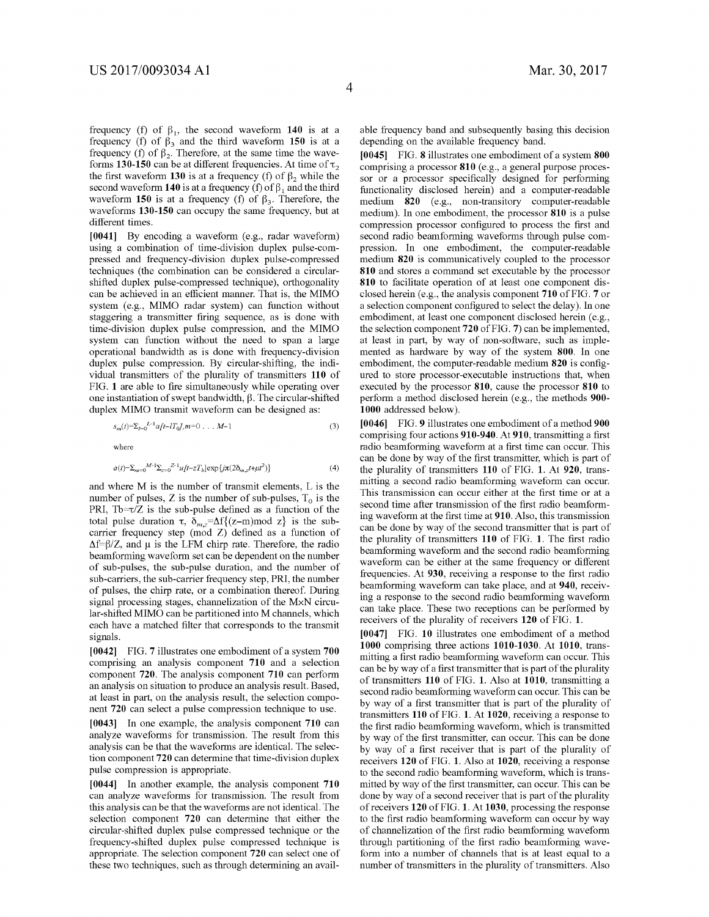frequency (f) of  $\beta_1$ , the second waveform 140 is at a frequency (f) of  $\beta_3$  and the third waveform 150 is at a frequency (f) of  $\beta_2$ . Therefore, at the same time the waveforms 130-150 can be at different frequencies. At time of  $\tau_2$ the first waveform 130 is at a frequency (f) of  $\beta_2$  while the second waveform 140 is at a frequency (f) of  $\beta_1$  and the third waveform 150 is at a frequency (f) of  $\beta_3$ . Therefore, the waveforms 130-150 can occupy the same frequency, but at different times.

[0041] By encoding a waveform (e.g., radar waveform) using a combination of time-division duplex pulse-compressed and frequency-division duplex pulse-compressed techniques (the combination can be considered a circularshifted duplex pulse-compressed technique), orthogonality can be achieved in an efficient manner. That is, the MIMO system (e.g., MIMO radar system) can function without staggering a transmitter firing sequence, as is done with time-division duplex pulse compression, and the MIMO system can function without the need to span a large operational bandwidth as is done with frequency-division duplex pulse compression. By circular-shifting, the individual transmitters of the plurality of transmitters 110 of FIG. 1 are able to fire simultaneously while operating over one instantiation of swept bandwidth,  $\beta$ . The circular-shifted duplex MIMO transmit waveform can be designed as:

$$
s_m(t) = \sum_{l=0}^{L-1} a_l t - l T_0 l, m = 0 \dots M - 1 \tag{3}
$$

where

$$
a(t) = \sum_{m=0}^{M-1} \sum_{z=0}^{Z-1} u[t-zT_b] \exp\{j\pi(2\delta_{m,z}t + \mu t^2)\}\tag{4}
$$

and where M is the number of transmit elements, L is the number of pulses, Z is the number of sub-pulses,  $T_0$  is the PRI, Tb= $\tau/Z$  is the sub-pulse defined as a function of the total pulse duration  $\tau$ ,  $\delta_{m,z} = \Delta f \{ (z-m) \mod z \}$  is the subcarrier frequency step (mod Z) defined as a function of  $\Delta f = \beta/Z$ , and  $\mu$  is the LFM chirp rate. Therefore, the radio beamforming waveform set can be dependent on the number of sub-pulses, the sub-pulse duration, and the number of sub-carriers, the sub-carrier frequency step, PRI, the number of pulses, the chirp rate, or a combination thereof. During signal processing stages, channelization of the M×N circular-shifted MIMO can be partitioned into M channels, which each have a matched filter that corresponds to the transmit signals.

[0042] FIG. 7 illustrates one embodiment of a system 700 comprising an analysis component 710 and a selection component 720. The analysis component 710 can perform an analysis on situation to produce an analysis result. Based, at least in part, on the analysis result, the selection component 720 can select a pulse compression technique to use.

[0043] In one example, the analysis component 710 can analyze waveforms for transmission. The result from this analysis can be that the waveforms are identical. The selection component 720 can determine that time-division duplex pulse compression is appropriate.

 $[0044]$  In another example, the analysis component 710 can analyze waveforms for transmission. The result from this analysis can be that the waveforms are not identical. The selection component 720 can determine that either the circular-shifted duplex pulse compressed technique or the frequency-shifted duplex pulse compressed technique is appropriate. The selection component 720 can select one of these two techniques, such as through determining an available frequency band and subsequently basing this decision depending on the available frequency band.

[0045] FIG. 8 illustrates one embodiment of a system 800 comprising a processor 810 (e.g., a general purpose processor or a processor specifically designed for performing functionality disclosed herein) and a computer-readable medium 820 (e.g., non-transitory computer-readable medium). In one embodiment, the processor 810 is a pulse compression processor configured to process the first and second radio beamforming waveforms through pulse compression. In one embodiment, the computer-readable medium 820 is communicatively coupled to the processor 810 and stores a command set executable by the processor 810 to facilitate operation of at least one component disclosed herein (e.g., the analysis component 710 of FIG. 7 or a selection component configured to select the delay). In one embodiment, at least one component disclosed herein (e.g., the selection component 720 of FIG. 7) can be implemented, at least in part, by way of non-software, such as implemented as hardware by way of the system 800. In one embodiment, the computer-readable medium 820 is configured to store processor-executable instructions that, when executed by the processor 810, cause the processor 810 to perform a method disclosed herein (e.g., the methods 900-1000 addressed below).

[0046] FIG. 9 illustrates one embodiment of a method 900 comprising four actions 910-940. At 910, transmitting a first radio beamforming waveform at a first time can occur. This can be done by way of the first transmitter, which is part of the plurality of transmitters 110 of FIG. 1. At 920, transmitting a second radio beamforming waveform can occur. This transmission can occur either at the first time or at a second time after transmission of the first radio beamforming waveform at the first time at 910. Also, this transmission can be done by way of the second transmitter that is part of the plurality of transmitters 110 of FIG. 1. The first radio beamforming waveform and the second radio beamforming waveform can be either at the same frequency or different frequencies. At 930, receiving a response to the first radio beamforming waveform can take place, and at 940, receiving a response to the second radio beamforming waveform can take place. These two receptions can be performed by receivers of the plurality of receivers 120 of FIG. 1.

[0047] FIG. 10 illustrates one embodiment of a method 1000 comprising three actions 1010-1030. At 1010, transmitting a first radio beamforming waveform can occur. This can be by way of a first transmitter that is part of the plurality of transmitters 110 of FIG. 1. Also at 1010, transmitting a second radio beamforming waveform can occur. This can be by way of a first transmitter that is part of the plurality of transmitters 110 of FIG. 1. At 1020, receiving a response to the first radio beamforming waveform, which is transmitted by way of the first transmitter, can occur. This can be done by way of a first receiver that is part of the plurality of receivers 120 of FIG. 1. Also at 1020, receiving a response to the second radio beamforming waveform, which is transmitted by way of the first transmitter, can occur. This can be done by way of a second receiver that is part of the plurality of receivers 120 of FIG. 1. At 1030, processing the response to the first radio beamforming waveform can occur by way of channelization of the first radio beamforming waveform through partitioning of the first radio beamforming waveform into a number of channels that is at least equal to a number of transmitters in the plurality of transmitters. Also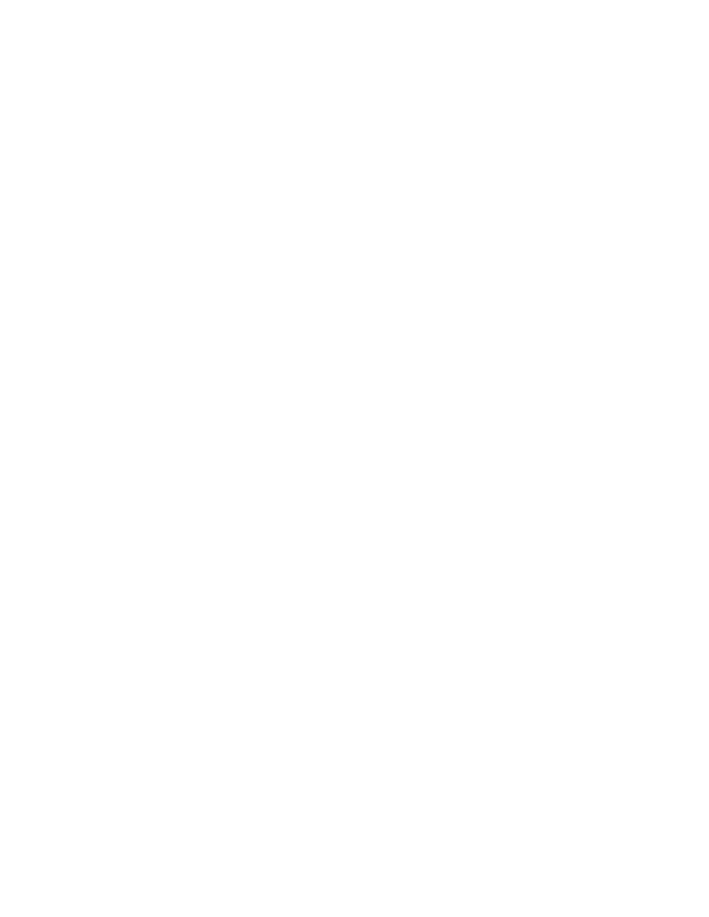at 1030, processing the response to the second radio beamforming waveform can occur by way of channelization of the second radio beamforming waveform through partitioning of the second radio beamforming waveform into a number of channels that is at least equal to a number of transmitters in the plurality of transmitters 110 of FIG. 1. This aforementioned processing can be performed by the processor 810 of FIG. 8.

[0048] While the methods disclosed herein are shown and described as a series of blocks, it is to be appreciated by one of ordinary skill in the art that the methods are not restricted by the order of the blocks, as some blocks can take place in different orders. Similarly, a block can operate concurrently with at least one other block.

What is claimed is:

- 1. A system, comprising:
- a first transmitter configured to transmit a first radio beamforming waveform at a first frequency; and
- a second transmitter configured to transmit a second radio beamforming waveform at a second frequency,
- where the first frequency and the second frequency are different frequencies,
- where the first radio beamforming waveform is a first arbitrary waveform,
- where the second radio beamforming waveform is a second arbitrary waveform, and
- where the first transmitter is configured to transmit the first radio beamforming waveform and the second transmitter is configured to transmit the second radio beamforming waveform, at least in part, concurrently.
- 2. The system of claim 1,
- where the first frequency is a first frequency band,
- where the second frequency is a second frequency band, and
- where the first frequency band and second frequency band are separate and distinct.
- 3. The system of claim 1,
- where the first radio beamforming waveform and the second radio beamforming waveform are a radio beamforming waveform set and
- where the radio beamforming waveform set is dependent on a number of pulses.
- 4. The system of claim 1,
- where the first radio beamforming waveform and the second radio beamforming waveform are a radio beamforming waveform set and
- where the radio beamforming waveform set is dependent on a pulse repetition interval.
- 5. The system of claim 1,
- where the first radio beamforming waveform and the second radio beamforming waveform are a radio beamforming waveform set and
- where the radio beamforming waveform set is dependent on a frequency shift.
- 6. The system of claim 1,
- where the first radio beamforming waveform and the second radio beamforming waveform are a radio beamforming waveform set and
- where the radio beamforming waveform set is dependent on a frequency offset.
- 7. A system, comprising:
- a first receiver configured to receiver a response to a first radio beamforming waveform at a first frequency; and
- a second receiver configured to receiver a response to a second radio beamforming waveform at a second frequency,
- where a first transmitter, that is part of a plurality of transmitters, is configured to transmit the first radio beamforming waveform at the first frequency,
- where a second transmitter, that is part of the plurality of transmitters, is configured to transmit the second radio beamforming waveform at the second frequency that is different from the first frequency,
- where the first transmitter is configured to transmit the first radio beamforming waveform and the second transmitter is configured to coordinate to transmit the second radio beamforming waveform, at least in part, simultaneously.
- where the first frequency is a first frequency band,
- where the second frequency is a second frequency band, and
- where the first frequency band and second frequency band are separate and distinct.
- 8. The system of claim 7,
- where the first radio beamforming waveform and the second radio beamforming waveform are a radio beamforming waveform set and where the radio beamforming waveform set is dependent on a number of pulses.
- 9. The system of claim 7,
- where the first radio beamforming waveform and the second radio beamforming waveform are a radio beamforming waveform set and
- where the radio beamforming waveform set is dependent on a pulse repetition interval.
- 10. The system of claim 7,
- where the first radio beamforming waveform and the second radio beamforming waveform are a radio beamforming waveform set and
- where the radio beamforming waveform set is dependent on a frequency shift.
- 11. The system of claim 7,
- where the first radio beamforming waveform and the second radio beamforming waveform are a radio beamforming waveform set and
- where the radio beamforming waveform set is dependent on a frequency offset.
- 12. The system of claim 7,
- where the first radio beamforming waveform and the second radio beamforming waveform are a radio beamforming waveform set and
- where the radio beamforming waveform set is dependent on a number of transmitters in the plurality of transmitters.
- 13. The system of claim 7,
- where the first radio beamforming waveform and the second radio beamforming waveform are a radio beamforming waveform set and
- where the radio beamforming waveform set is dependent on a chirp rate.

14. A method performed, at least in part, by a multiple input-multiple output beamforming system, the method comprising:

- transmitting, by way of a first transmitter that is part of a plurality of transmitters, a radio beamforming waveform at a first frequency;
- transmitting, by way of a second transmitter that is part of the plurality of transmitters, the radio beamforming